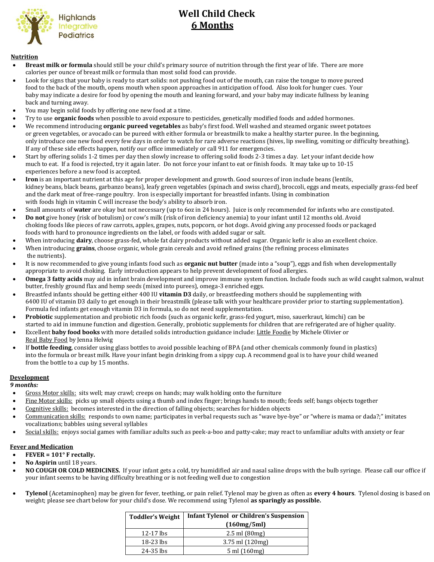

# **Well Child Check 6 Months**

#### **Nutrition**

- **Breast milk or formula** should still be your child's primary source of nutrition through the first year of life. There are more calories per ounce of breast milk or formula than most solid food can provide.
- Look for signs that your baby is ready to start solids: not pushing food out of the mouth, can raise the tongue to move pureed food to the back of the mouth, opens mouth when spoon approaches in anticipation of food. Also look for hunger cues. Your baby may indicate a desire for food by opening the mouth and leaning forward, and your baby may indicate fullness by leaning back and turning away.
- You may begin solid foods by offering one new food at a time.
- Try to use **organic foods** when possible to avoid exposure to pesticides, genetically modified foods and added hormones.
- We recommend introducing **organic pureed vegetables** as baby's first food. Well washed and steamed organic sweet potatoes or green vegetables, or avocado can be pureed with either formula or breastmilk to make a healthy starter puree. In the beginning, only introduce one new food every few days in order to watch for rare adverse reactions (hives, lip swelling, vomiting or difficulty breathing). If any of these side effects happen, notify our office immediately or call 911 for emergencies.
- Start by offering solids 1-2 times per day then slowly increase to offering solid foods 2-3 times a day. Let your infant decide how much to eat. If a food is rejected, try it again later. Do not force your infant to eat or finish foods. It may take up to 10-15 experiences before a new food is accepted.
- **Iron** is an important nutrient at this age for proper development and growth. Good sources of iron include beans (lentils, kidney beans, black beans, garbanzo beans), leafy green vegetables (spinach and swiss chard), broccoli, eggs and meats, especially grass-fed beef and the dark meat of free-range poultry. Iron is especially important for breastfed infants. Using in combination with foods high in vitamin C will increase the body's ability to absorb iron.
- Small amounts of **water** are okay but not necessary (up to 6oz in 24 hours). Juice is only recommended for infants who are constipated.
- **Do not** give honey (risk of botulism) or cow's milk (risk of iron deficiency anemia) to your infant until 12 months old. Avoid choking foods like pieces of raw carrots, apples, grapes, nuts, popcorn, or hot dogs. Avoid giving any processed foods or packaged foods with hard to pronounce ingredients on the label, or foods with added sugar or salt.
- When introducing **dairy**, choose grass-fed, whole fat dairy products without added sugar. Organic kefir is also an excellent choice.
- When introducing **grains**, choose organic, whole grain cereals and avoid refined grains (the refining process eliminates
- the nutrients).
- It is now recommended to give young infants food such as **organic nut butter** (made into a "soup"), eggs and fish when developmentally appropriate to avoid choking. Early introduction appears to help prevent development of food allergies.
- **Omega 3 fatty acids** may aid in infant brain development and improve immune system function. Include foods such as wild caught salmon, walnut butter, freshly ground flax and hemp seeds (mixed into purees), omega-3 enriched eggs.
- Breastfed infants should be getting either 400 IU **vitamin D3** daily, or breastfeeding mothers should be supplementing with 6400 IU of vitamin D3 daily to get enough in their breastmilk (please talk with your healthcare provider prior to starting supplementation). Formula fed infants get enough vitamin D3 in formula, so do not need supplementation.
- **Probiotic** supplementation and probiotic rich foods (such as organic kefir, grass-fed yogurt, miso, sauerkraut, kimchi) can be started to aid in immune function and digestion. Generally, probiotic supplements for children that are refrigerated are of higher quality.
- Excellent **baby food books** with more detailed solids introduction guidance include: Little Foodie by Michele Olivier or Real Baby Food by Jenna Helwig
- If **bottle feeding**, consider using glass bottles to avoid possible leaching of BPA (and other chemicals commonly found in plastics) into the formula or breast milk. Have your infant begin drinking from a sippy cup. A recommend goal is to have your child weaned from the bottle to a cup by 15 months.

## **Development**

 *9 months:*

- Gross Motor skills: sits well; may crawl; creeps on hands; may walk holding onto the furniture
- Fine Motor skills: picks up small objects using a thumb and index finger; brings hands to mouth; feeds self; bangs objects together
- Cognitive skills: becomes interested in the direction of falling objects; searches for hidden objects
- Communication skills: responds to own name; participates in verbal requests such as "wave bye-bye" or "where is mama or dada?;" imitates vocalizations; babbles using several syllables
- Social skills: enjoys social games with familiar adults such as peek-a-boo and patty-cake; may react to unfamiliar adults with anxiety or fear

## **Fever and Medication**

- **FEVER = 101° F rectally.**
- **No Aspirin** until 18 years.
- **NO COUGH OR COLD MEDICINES.** If your infant gets a cold, try humidified air and nasal saline drops with the bulb syringe. Please call our office if your infant seems to be having difficulty breathing or is not feeding well due to congestion
- **Tylenol** (Acetaminophen) may be given for fever, teething, or pain relief. Tylenol may be given as often as **every 4 hours**. Tylenol dosing is based on weight; please see chart below for your child's dose. We recommend using Tylenol **as sparingly as possible.**

| <b>Toddler's Weight</b> | <b>Infant Tylenol or Children's Suspension</b> |  |
|-------------------------|------------------------------------------------|--|
|                         | (160mg/5ml)                                    |  |
| $12-17$ lbs             | $2.5$ ml $(80mg)$                              |  |
| 18-23 lbs               | $3.75$ ml $(120mg)$                            |  |
| 24-35 lbs               | $5 \text{ ml} (160 \text{ mg})$                |  |